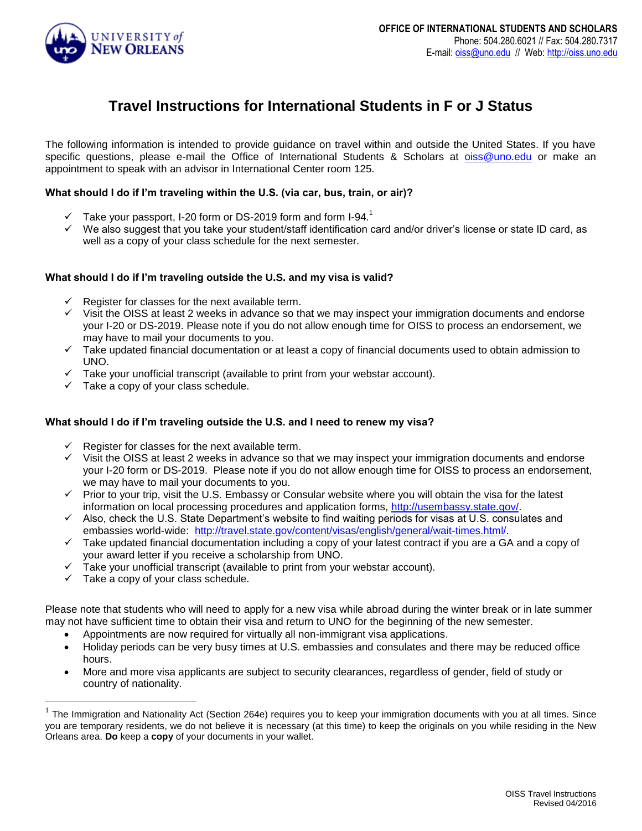

# **Travel Instructions for International Students in F or J Status**

The following information is intended to provide guidance on travel within and outside the United States. If you have specific questions, please e-mail the Office of International Students & Scholars at [oiss@uno.edu](mailto:oiss@uno.edu) or make an appointment to speak with an advisor in International Center room 125.

# **What should I do if I'm traveling within the U.S. (via car, bus, train, or air)?**

- $\checkmark$  Take your passport, I-20 form or DS-2019 form and form I-94.<sup>1</sup>
- We also suggest that you take your student/staff identification card and/or driver's license or state ID card, as well as a copy of your class schedule for the next semester.

# **What should I do if I'm traveling outside the U.S. and my visa is valid?**

- $\checkmark$  Register for classes for the next available term.
- $\checkmark$  Visit the OISS at least 2 weeks in advance so that we may inspect your immigration documents and endorse your I-20 or DS-2019. Please note if you do not allow enough time for OISS to process an endorsement, we may have to mail your documents to you.
- $\checkmark$  Take updated financial documentation or at least a copy of financial documents used to obtain admission to UNO.
- $\checkmark$  Take your unofficial transcript (available to print from your webstar account).
- $\checkmark$  Take a copy of your class schedule.

# **What should I do if I'm traveling outside the U.S. and I need to renew my visa?**

- Register for classes for the next available term.
- $\checkmark$  Visit the OISS at least 2 weeks in advance so that we may inspect your immigration documents and endorse your I-20 form or DS-2019. Please note if you do not allow enough time for OISS to process an endorsement, we may have to mail your documents to you.
- $\checkmark$  Prior to your trip, visit the U.S. Embassy or Consular website where you will obtain the visa for the latest information on local processing procedures and application forms, [http://usembassy.state.gov/.](http://usembassy.state.gov/)
- Also, check the U.S. State Department's website to find waiting periods for visas at U.S. consulates and embassies world-wide: [http://travel.state.gov/content/visas/english/general/wait-times.html/.](http://travel.state.gov/content/visas/english/general/wait-times.html/)
- $\checkmark$  Take updated financial documentation including a copy of your latest contract if you are a GA and a copy of your award letter if you receive a scholarship from UNO.
- Take your unofficial transcript (available to print from your webstar account).
- Take a copy of your class schedule.

 $\overline{a}$ 

Please note that students who will need to apply for a new visa while abroad during the winter break or in late summer may not have sufficient time to obtain their visa and return to UNO for the beginning of the new semester.

- Appointments are now required for virtually all non-immigrant visa applications.
- Holiday periods can be very busy times at U.S. embassies and consulates and there may be reduced office hours.
- More and more visa applicants are subject to security clearances, regardless of gender, field of study or country of nationality.

 $1$  The Immigration and Nationality Act (Section 264e) requires you to keep your immigration documents with you at all times. Since you are temporary residents, we do not believe it is necessary (at this time) to keep the originals on you while residing in the New Orleans area. **Do** keep a **copy** of your documents in your wallet.